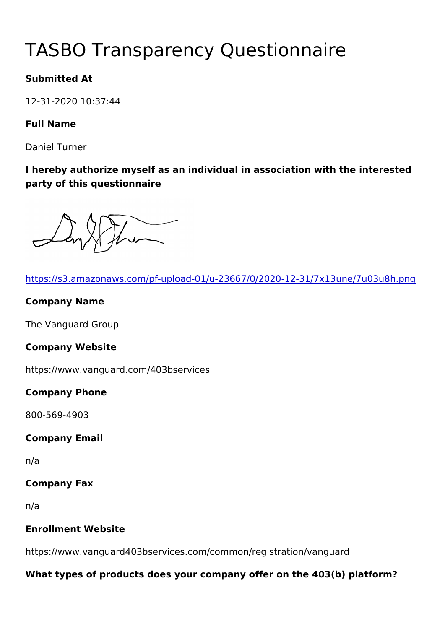# TASBO Transparency Questionna

Submitted At

12-31-2020 10:37:44

Full Name

Daniel Turner

I hereby authorize myself as an individual in association with the party of this questionnaire

| https://s3.amazonaws.com/pf-upload-01/u-23667/0/2020-12-31/7x1   |
|------------------------------------------------------------------|
| Company Name                                                     |
| The Vanguard Group                                               |
| Company Website                                                  |
| https://www.vanguard.com/403bservices                            |
| Company Phone                                                    |
| 800-569-4903                                                     |
| Company Email                                                    |
| n/a                                                              |
| Company Fax                                                      |
| n/a                                                              |
| Enrollment Website                                               |
| https://www.vanguard403bservices.com/common/registration/vang    |
| What types of products does your company offer on the 403(b) pla |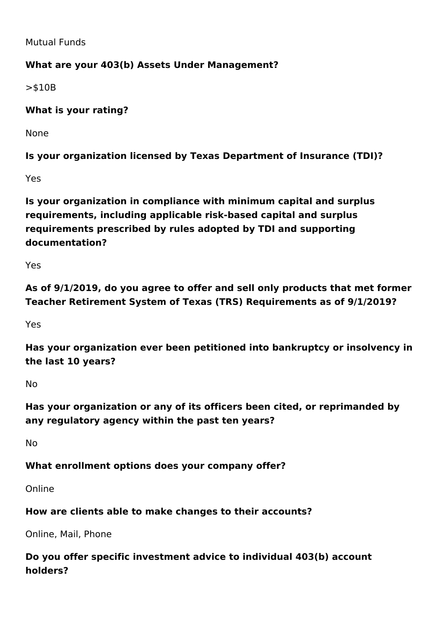Mutual Funds

#### **What are your 403(b) Assets Under Management?**

>\$10B

#### **What is your rating?**

None

**Is your organization licensed by Texas Department of Insurance (TDI)?**

Yes

**Is your organization in compliance with minimum capital and surplus requirements, including applicable risk-based capital and surplus requirements prescribed by rules adopted by TDI and supporting documentation?**

Yes

**As of 9/1/2019, do you agree to offer and sell only products that met former Teacher Retirement System of Texas (TRS) Requirements as of 9/1/2019?**

Yes

**Has your organization ever been petitioned into bankruptcy or insolvency in the last 10 years?**

No

**Has your organization or any of its officers been cited, or reprimanded by any regulatory agency within the past ten years?**

No

#### **What enrollment options does your company offer?**

Online

#### **How are clients able to make changes to their accounts?**

Online, Mail, Phone

**Do you offer specific investment advice to individual 403(b) account holders?**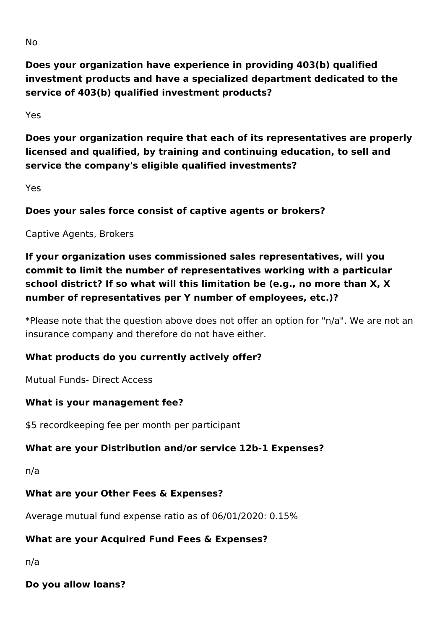**Does your organization have experience in providing 403(b) qualified investment products and have a specialized department dedicated to the service of 403(b) qualified investment products?**

Yes

**Does your organization require that each of its representatives are properly licensed and qualified, by training and continuing education, to sell and service the company's eligible qualified investments?** 

Yes

**Does your sales force consist of captive agents or brokers?**

Captive Agents, Brokers

**If your organization uses commissioned sales representatives, will you commit to limit the number of representatives working with a particular school district? If so what will this limitation be (e.g., no more than X, X number of representatives per Y number of employees, etc.)?**

\*Please note that the question above does not offer an option for "n/a". We are not an insurance company and therefore do not have either.

#### **What products do you currently actively offer?**

Mutual Funds- Direct Access

#### **What is your management fee?**

\$5 recordkeeping fee per month per participant

#### **What are your Distribution and/or service 12b-1 Expenses?**

n/a

#### **What are your Other Fees & Expenses?**

Average mutual fund expense ratio as of 06/01/2020: 0.15%

#### **What are your Acquired Fund Fees & Expenses?**

n/a

**Do you allow loans?**